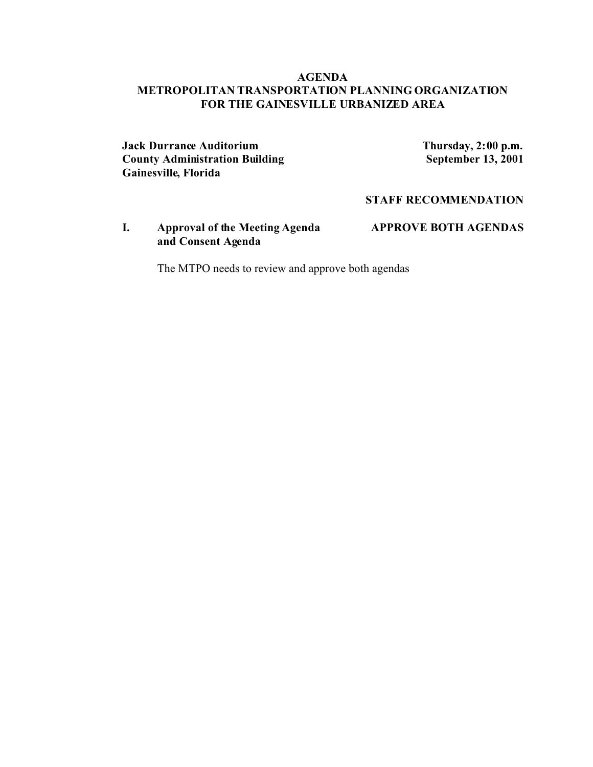### **AGENDA METROPOLITAN TRANSPORTATION PLANNING ORGANIZATION FOR THE GAINESVILLE URBANIZED AREA**

**Jack Durrance Auditorium**<br> **County Administration Building**<br> **Thursday, 2:00 p.m.**<br> **September 13, 2001 County Administration Building Gainesville, Florida**

**STAFF RECOMMENDATION**

**I. Approval of the Meeting Agenda APPROVE BOTH AGENDAS and Consent Agenda**

The MTPO needs to review and approve both agendas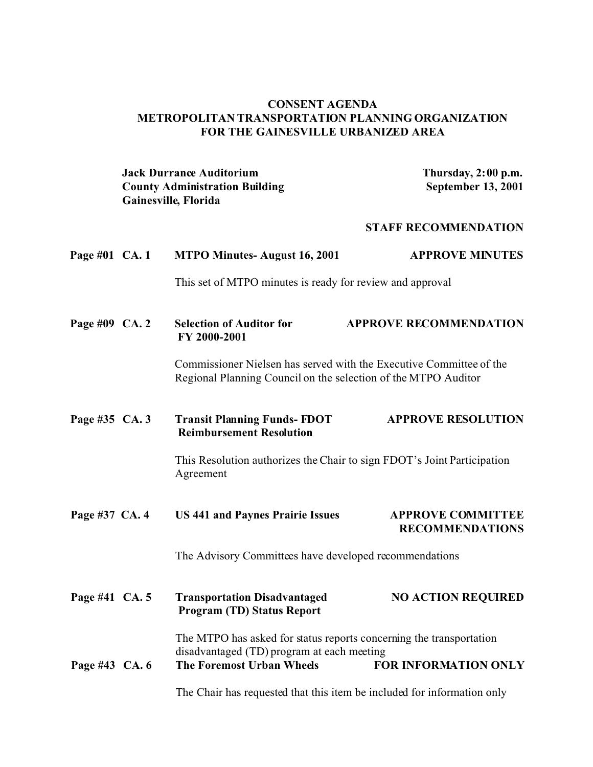### **CONSENT AGENDA METROPOLITAN TRANSPORTATION PLANNING ORGANIZATION FOR THE GAINESVILLE URBANIZED AREA**

| <b>Jack Durrance Auditorium</b>       | Thursday, $2:00$ p.m.     |
|---------------------------------------|---------------------------|
| <b>County Administration Building</b> | <b>September 13, 2001</b> |
| <b>Gainesville, Florida</b>           |                           |

## **STAFF RECOMMENDATION**

| Page #01 CA. 1 |  | <b>MTPO Minutes-August 16, 2001</b>                                                                                                                                                                                                                      | <b>APPROVE MINUTES</b>                             |
|----------------|--|----------------------------------------------------------------------------------------------------------------------------------------------------------------------------------------------------------------------------------------------------------|----------------------------------------------------|
|                |  | This set of MTPO minutes is ready for review and approval                                                                                                                                                                                                |                                                    |
| Page #09 CA. 2 |  | <b>Selection of Auditor for</b><br>FY 2000-2001                                                                                                                                                                                                          | <b>APPROVE RECOMMENDATION</b>                      |
|                |  | Commissioner Nielsen has served with the Executive Committee of the<br>Regional Planning Council on the selection of the MTPO Auditor                                                                                                                    |                                                    |
| Page #35 CA. 3 |  | <b>Transit Planning Funds-FDOT</b><br><b>Reimbursement Resolution</b>                                                                                                                                                                                    | <b>APPROVE RESOLUTION</b>                          |
|                |  | This Resolution authorizes the Chair to sign FDOT's Joint Participation<br>Agreement                                                                                                                                                                     |                                                    |
| Page #37 CA. 4 |  | <b>US 441 and Paynes Prairie Issues</b>                                                                                                                                                                                                                  | <b>APPROVE COMMITTEE</b><br><b>RECOMMENDATIONS</b> |
|                |  | The Advisory Committees have developed recommendations                                                                                                                                                                                                   |                                                    |
| Page #41 CA. 5 |  | <b>Transportation Disadvantaged</b><br><b>Program (TD) Status Report</b>                                                                                                                                                                                 | <b>NO ACTION REQUIRED</b>                          |
| Page #43 CA. 6 |  | The MTPO has asked for status reports concerning the transportation<br>disadvantaged (TD) program at each meeting<br><b>FOR INFORMATION ONLY</b><br>The Foremost Urban Wheels<br>The Chair has requested that this item be included for information only |                                                    |
|                |  |                                                                                                                                                                                                                                                          |                                                    |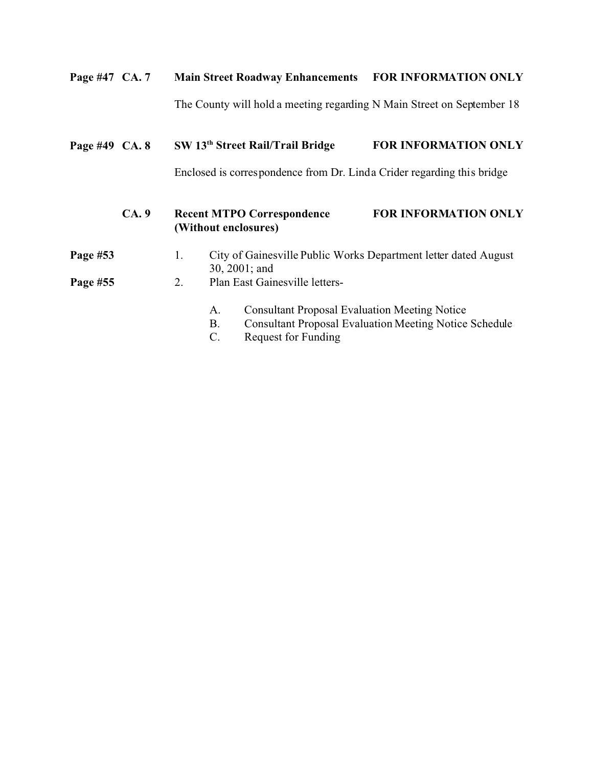| Page #47 CA. 7 |      | <b>Main Street Roadway Enhancements</b>                                | <b>FOR INFORMATION ONLY</b> |
|----------------|------|------------------------------------------------------------------------|-----------------------------|
|                |      | The County will hold a meeting regarding N Main Street on September 18 |                             |
| Page #49 CA. 8 |      | SW 13 <sup>th</sup> Street Rail/Trail Bridge                           | <b>FOR INFORMATION ONLY</b> |
|                |      | Enclosed is correspondence from Dr. Linda Crider regarding this bridge |                             |
|                | CA.9 | <b>Recent MTPO Correspondence</b><br>(Without enclosures)              | <b>FOR INFORMATION ONLY</b> |

| Page #53 | City of Gainesville Public Works Department letter dated August |
|----------|-----------------------------------------------------------------|
|          | 30, $2001$ ; and                                                |

- Page #55 2. Plan East Gainesville letters-
	- A. Consultant Proposal Evaluation Meeting Notice
	- B. Consultant Proposal Evaluation Meeting Notice Schedule
	- C. Request for Funding